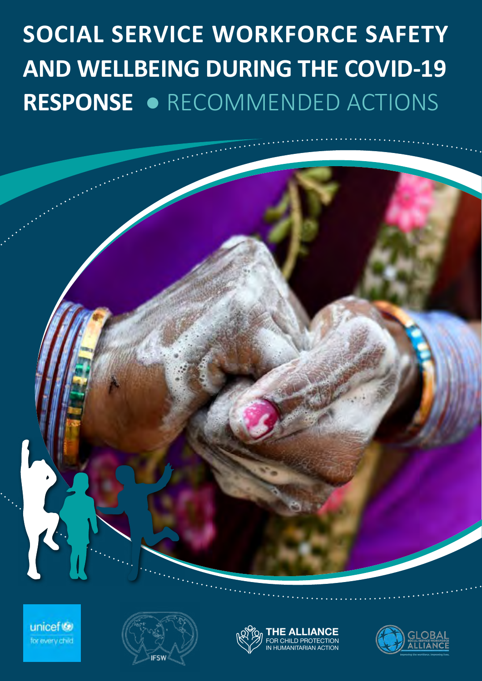# **SOCIAL SERVICE WORKFORCE SAFETY AND WELLBEING DURING THE COVID-19 RESPONSE** ● RECOMMENDED ACTIONS

unicef<sup>(3)</sup> for every child





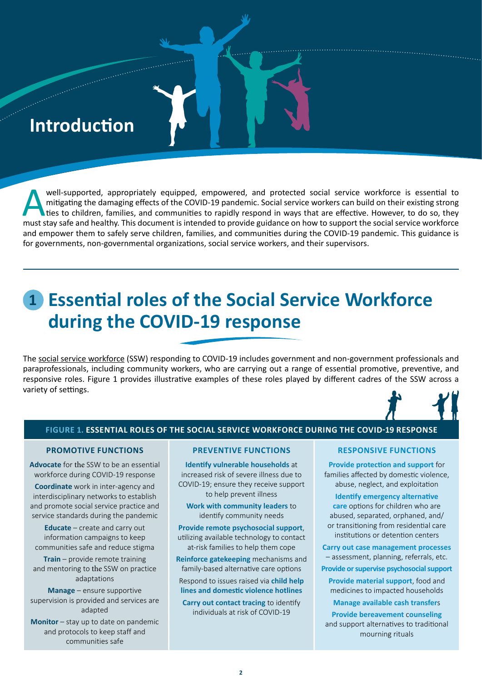# **Introduction**

e a company a company a company a company a company a company and the company of the company of the company of<br>England and the company of the company of the company of the company of the company of the company of the comp

well-supported, appropriately equipped, empowered, and protected social service workforce is essential to mitigating the damaging effects of the COVID-19 pandemic. Social service workers can build on their existing strong mitigating the damaging effects of the COVID-19 pandemic. Social service workers can build on their existing strong Ities to children, families, and communities to rapidly respond in ways that are effective. However, to do so, they must stay safe and healthy. This document is intended to provide guidance on how to support the social service workforce and empower them to safely serve children, families, and communities during the COVID-19 pandemic. This guidance is for governments, non-governmental organizations, social service workers, and their supervisors.

# **1 Essential roles of the Social Service Workforce during the COVID-19 response**

The [social service workforce](http://www.socialserviceworkforce.org/defining-social-service-workforce) (SSW) responding to COVID-19 includes government and non-government professionals and paraprofessionals, including community workers, who are carrying out a range of essential promotive, preventive, and responsive roles. Figure 1 provides illustrative examples of these roles played by different cadres of the SSW across a variety of settings.

### **FIGURE 1. ESSENTIAL ROLES OF THE SOCIAL SERVICE WORKFORCE DURING THE COVID-19 RESPONSE**

#### **PROMOTIVE FUNCTIONS**

**Advocate** for the SSW to be an essential workforce during COVID-19 response

**Coordinate** work in inter-agency and interdisciplinary networks to establish and promote social service practice and service standards during the pandemic

**Educate** – create and carry out information campaigns to keep communities safe and reduce stigma

**Train** – provide remote training and mentoring to the SSW on practice adaptations

**Manage** – ensure supportive supervision is provided and services are adapted

**Monitor** – stay up to date on pandemic and protocols to keep staff and communities safe

#### **PREVENTIVE FUNCTIONS**

**Identify vulnerable households** at increased risk of severe illness due to COVID-19; ensure they receive support to help prevent illness

**Work with community leaders** to identify community needs

**Provide remote psychosocial support**, utilizing available technology to contact at-risk families to help them cope

**Reinforce gatekeeping** mechanisms and family-based alternative care options

Respond to issues raised via **child help lines and domestic violence hotlines**

**Carry out contact tracing** to identify individuals at risk of COVID-19

#### **RESPONSIVE FUNCTIONS**

**Provide protection and support** for families affected by domestic violence, abuse, neglect, and exploitation

**Identify emergency alternative care** options for children who are abused, separated, orphaned, and/ or transitioning from residential care institutions or detention centers

**Carry out case management processes** – assessment, planning, referrals, etc.

**Provide or supervise psychosocial support**

**Provide material support**, food and medicines to impacted households

**Manage available cash transfer**s

**Provide bereavement** c**ounseling**  and support alternatives to traditional mourning rituals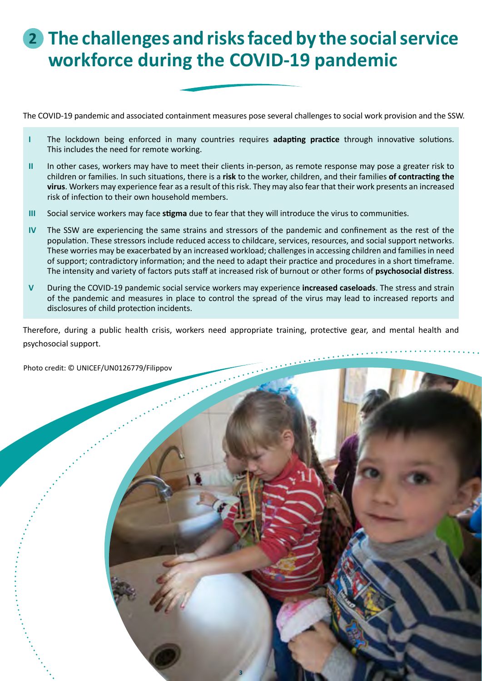# **2 The challenges and risks faced by the social service workforce during the COVID-19 pandemic**

The COVID-19 pandemic and associated containment measures pose several challenges to social work provision and the SSW.

- **I** The lockdown being enforced in many countries requires **adapting practice** through innovative solutions. This includes the need for remote working.
- **II** In other cases, workers may have to meet their clients in-person, as remote response may pose a greater risk to children or families. In such situations, there is a **risk** to the worker, children, and their families **of contracting the virus**. Workers may experience fear as a result of this risk. They may also fear that their work presents an increased risk of infection to their own household members.
- **III** Social service workers may face **stigma** due to fear that they will introduce the virus to communities.
- **IV** The SSW are experiencing the same strains and stressors of the pandemic and confinement as the rest of the population. These stressors include reduced access to childcare, services, resources, and social support networks. These worries may be exacerbated by an increased workload; challenges in accessing children and families in need of support; contradictory information; and the need to adapt their practice and procedures in a short timeframe. The intensity and variety of factors puts staff at increased risk of burnout or other forms of **psychosocial distress**.
- **V** During the COVID-19 pandemic social service workers may experience **increased caseloads**. The stress and strain of the pandemic and measures in place to control the spread of the virus may lead to increased reports and disclosures of child protection incidents.

Therefore, during a public health crisis, workers need appropriate training, protective gear, and mental health and psychosocial support.

**3**

Photo credit: © UNICEF/UN0126779/Filippov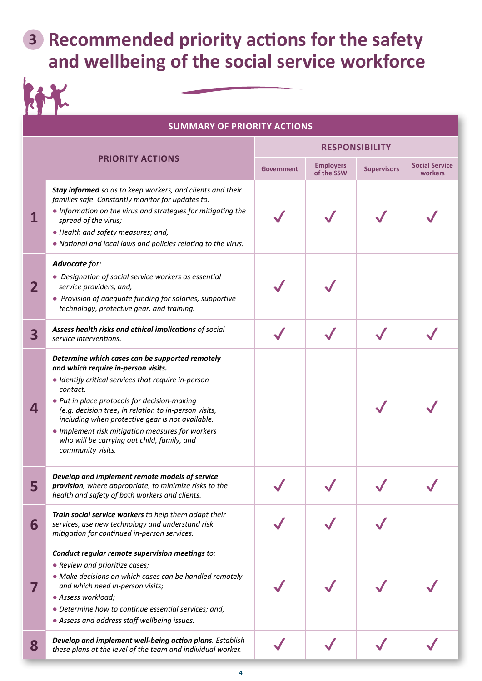# **3 Recommended priority actions for the safety and wellbeing of the social service workforce**

|             | <b>SUMMARY OF PRIORITY ACTIONS</b>                                                                                                                                                                                                                                                                                                                                                                                                             |                       |                                |                    |                                  |
|-------------|------------------------------------------------------------------------------------------------------------------------------------------------------------------------------------------------------------------------------------------------------------------------------------------------------------------------------------------------------------------------------------------------------------------------------------------------|-----------------------|--------------------------------|--------------------|----------------------------------|
|             |                                                                                                                                                                                                                                                                                                                                                                                                                                                | <b>RESPONSIBILITY</b> |                                |                    |                                  |
|             | <b>PRIORITY ACTIONS</b>                                                                                                                                                                                                                                                                                                                                                                                                                        | <b>Government</b>     | <b>Employers</b><br>of the SSW | <b>Supervisors</b> | <b>Social Service</b><br>workers |
|             | Stay informed so as to keep workers, and clients and their<br>families safe. Constantly monitor for updates to:<br>. Information on the virus and strategies for mitigating the<br>spread of the virus;<br>· Health and safety measures; and,<br>. National and local laws and policies relating to the virus.                                                                                                                                 |                       |                                |                    |                                  |
| $\mathbf 2$ | Advocate for:<br>• Designation of social service workers as essential<br>service providers, and,<br>• Provision of adequate funding for salaries, supportive<br>technology, protective gear, and training.                                                                                                                                                                                                                                     |                       |                                |                    |                                  |
| 3           | Assess health risks and ethical implications of social<br>service interventions.                                                                                                                                                                                                                                                                                                                                                               |                       |                                |                    |                                  |
| 4           | Determine which cases can be supported remotely<br>and which require in-person visits.<br>• Identify critical services that require in-person<br>contact.<br>• Put in place protocols for decision-making<br>(e.g. decision tree) in relation to in-person visits,<br>including when protective gear is not available.<br>• Implement risk mitigation measures for workers<br>who will be carrying out child, family, and<br>community visits. |                       |                                |                    |                                  |
| 5           | Develop and implement remote models of service<br>provision, where appropriate, to minimize risks to the<br>health and safety of both workers and clients.                                                                                                                                                                                                                                                                                     |                       |                                |                    |                                  |
| 6           | Train social service workers to help them adapt their<br>services, use new technology and understand risk<br>mitigation for continued in-person services.                                                                                                                                                                                                                                                                                      |                       |                                |                    |                                  |
|             | Conduct regular remote supervision meetings to:<br>• Review and prioritize cases;<br>• Make decisions on which cases can be handled remotely<br>and which need in-person visits;<br>· Assess workload;<br>• Determine how to continue essential services; and,<br>• Assess and address staff wellbeing issues.                                                                                                                                 |                       |                                |                    |                                  |
| 8           | Develop and implement well-being action plans. Establish<br>these plans at the level of the team and individual worker.                                                                                                                                                                                                                                                                                                                        |                       |                                |                    |                                  |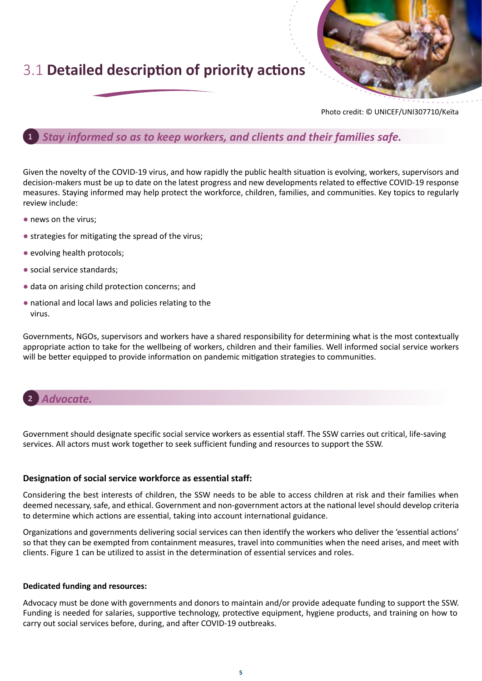## 3.1 **Detailed description of priority actions**



Photo credit: © UNICEF/UNI307710/Keïta

#### **1** *Stay informed so as to keep workers, and clients and their families safe.*

Given the novelty of the COVID-19 virus, and how rapidly the public health situation is evolving, workers, supervisors and decision-makers must be up to date on the latest progress and new developments related to effective COVID-19 response measures. Staying informed may help protect the workforce, children, families, and communities. Key topics to regularly review include:

- news on the virus;
- strategies for mitigating the spread of the virus;
- evolving health protocols;
- social service standards;
- data on arising child protection concerns; and
- national and local laws and policies relating to the virus.

Governments, NGOs, supervisors and workers have a shared responsibility for determining what is the most contextually appropriate action to take for the wellbeing of workers, children and their families. Well informed social service workers will be better equipped to provide information on pandemic mitigation strategies to communities.



Government should designate specific social service workers as essential staff. The SSW carries out critical, life-saving services. All actors must work together to seek sufficient funding and resources to support the SSW.

#### **Designation of social service workforce as essential staff:**

Considering the best interests of children, the SSW needs to be able to access children at risk and their families when deemed necessary, safe, and ethical. Government and non-government actors at the national level should develop criteria to determine which actions are essential, taking into account international guidance.

Organizations and governments delivering social services can then identify the workers who deliver the 'essential actions' so that they can be exempted from containment measures, travel into communities when the need arises, and meet with clients. Figure 1 can be utilized to assist in the determination of essential services and roles.

#### **Dedicated funding and resources:**

Advocacy must be done with governments and donors to maintain and/or provide adequate funding to support the SSW. Funding is needed for salaries, supportive technology, protective equipment, hygiene products, and training on how to carry out social services before, during, and after COVID-19 outbreaks.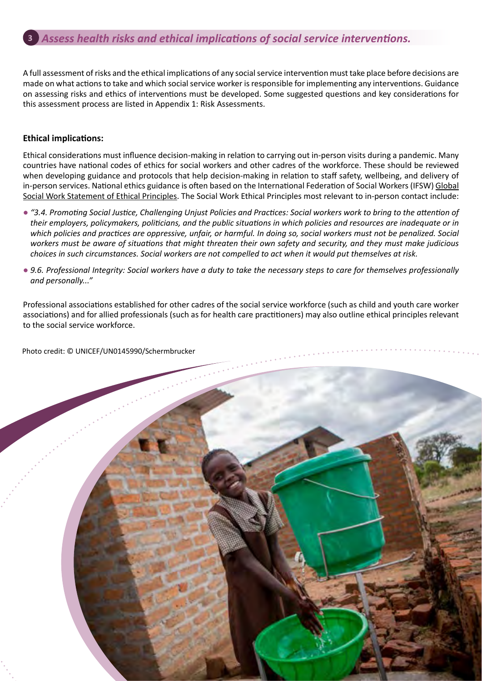A full assessment of risks and the ethical implications of any social service intervention must take place before decisions are made on what actions to take and which social service worker is responsible for implementing any interventions. Guidance on assessing risks and ethics of interventions must be developed. Some suggested questions and key considerations for this assessment process are listed in Appendix 1: Risk Assessments.

#### **Ethical implications:**

Ethical considerations must influence decision-making in relation to carrying out in-person visits during a pandemic. Many countries have national codes of ethics for social workers and other cadres of the workforce. These should be reviewed when developing guidance and protocols that help decision-making in relation to staff safety, wellbeing, and delivery of in-person services. National ethics guidance is often based on the International Federation of Social Workers (IFSW) [Global](https://www.ifsw.org/global-social-work-statement-of-ethical-principles/)  [Social Work Statement of Ethical Principles.](https://www.ifsw.org/global-social-work-statement-of-ethical-principles/) The Social Work Ethical Principles most relevant to in-person contact include:

- "3.4. Promoting Social Justice, Challenging Unjust Policies and Practices: Social workers work to bring to the attention of *their employers, policymakers, politicians, and the public situations in which policies and resources are inadequate or in which policies and practices are oppressive, unfair, or harmful. In doing so, social workers must not be penalized. Social workers must be aware of situations that might threaten their own safety and security, and they must make judicious choices in such circumstances. Social workers are not compelled to act when it would put themselves at risk.*
- 9.6. Professional Integrity: Social workers have a duty to take the necessary steps to care for themselves professionally *and personally..."*

Professional associations established for other cadres of the social service workforce (such as child and youth care worker associations) and for allied professionals (such as for health care practitioners) may also outline ethical principles relevant to the social service workforce.

Photo credit: © UNICEF/UN0145990/Schermbrucker

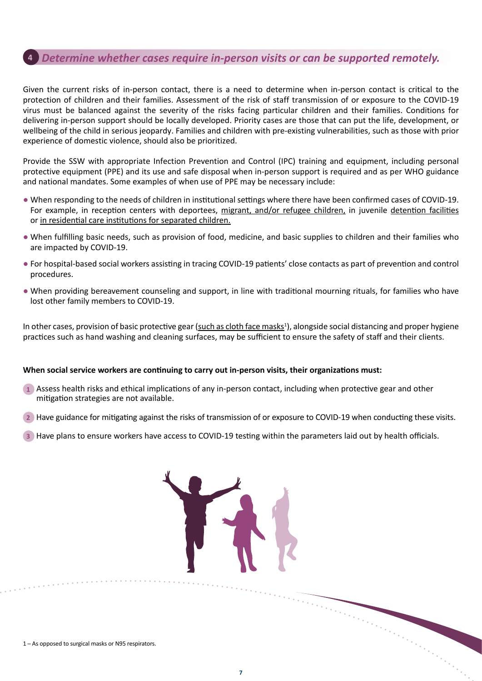### **4** *Determine whether cases require in-person visits or can be supported remotely.*

Given the current risks of in-person contact, there is a need to determine when in-person contact is critical to the protection of children and their families. Assessment of the risk of staff transmission of or exposure to the COVID-19 virus must be balanced against the severity of the risks facing particular children and their families. Conditions for delivering in-person support should be locally developed. Priority cases are those that can put the life, development, or wellbeing of the child in serious jeopardy. Families and children with pre-existing vulnerabilities, such as those with prior experience of domestic violence, should also be prioritized.

Provide the SSW with appropriate Infection Prevention and Control (IPC) training and equipment, including personal protective equipment (PPE) and its use and safe disposal when in-person support is required and as per WHO guidance and national mandates. Some examples of when use of PPE may be necessary include:

- When responding to the needs of children in institutional settings where there have been confirmed cases of COVID-19. For example, in reception centers with deportees, [migrant, and/or refugee children](https://www.unicef.org/media/67221/file), in juvenile [detention facilities](https://alliancecpha.org/en/child-protection-online-library/technical-note-covid-19-and-children-deprived-their-liberty?fbclid=IwAR0Tio4wUvzBJrS_7eZnpReRUcfV1lAdFIeepVOeCTS2EWYL9Fbsn2FN4FU) or [in residential care institutions for separated children](https://alliancecpha.org/en/child-protection-online-library/protection-children-during-covid-19-pandemic-children-and?fbclid=IwAR21s1CG09Qt9I4C2CmEs57wAimSX_TRzp71unO3t7FgLLBFjalBLAvIkBc).
- When fulfilling basic needs, such as provision of food, medicine, and basic supplies to children and their families who are impacted by COVID-19.
- For hospital-based social workers assisting in tracing COVID-19 patients' close contacts as part of prevention and control procedures.
- When providing bereavement counseling and support, in line with traditional mourning rituals, for families who have lost other family members to COVID-19.

In other cases, provision of basic protective gear ([such as cloth face masks](https://www.who.int/emergencies/diseases/novel-coronavirus-2019/advice-for-public/when-and-how-to-use-masks)<sup>1</sup>), alongside social distancing and proper hygiene practices such as hand washing and cleaning surfaces, may be sufficient to ensure the safety of staff and their clients.

#### **When social service workers are continuing to carry out in-person visits, their organizations must:**

- **1** Assess health risks and ethical implications of any in-person contact, including when protective gear and other mitigation strategies are not available.
- **2** Have guidance for mitigating against the risks of transmission of or exposure to COVID-19 when conducting these visits.
- **3** Have plans to ensure workers have access to COVID-19 testing within the parameters laid out by health officials.



1 ─ As opposed to surgical masks or N95 respirators.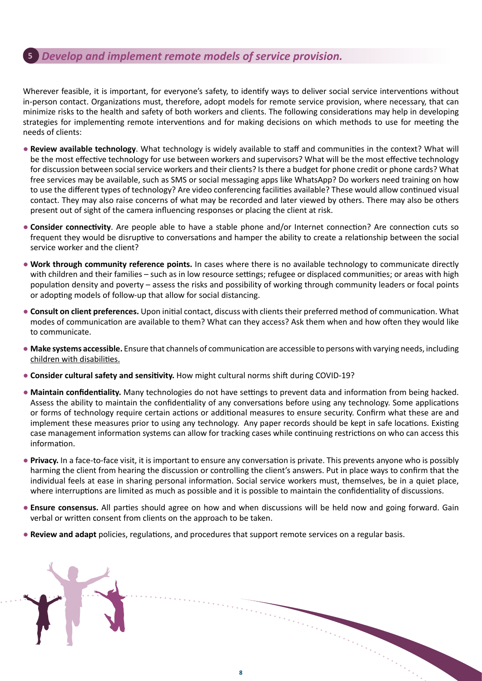### **5** *Develop and implement remote models of service provision.*

Wherever feasible, it is important, for everyone's safety, to identify ways to deliver social service interventions without in-person contact. Organizations must, therefore, adopt models for remote service provision, where necessary, that can minimize risks to the health and safety of both workers and clients. The following considerations may help in developing strategies for implementing remote interventions and for making decisions on which methods to use for meeting the needs of clients:

- **Review available technology**. What technology is widely available to staff and communities in the context? What will be the most effective technology for use between workers and supervisors? What will be the most effective technology for discussion between social service workers and their clients? Is there a budget for phone credit or phone cards? What free services may be available, such as SMS or social messaging apps like WhatsApp? Do workers need training on how to use the different types of technology? Are video conferencing facilities available? These would allow continued visual contact. They may also raise concerns of what may be recorded and later viewed by others. There may also be others present out of sight of the camera influencing responses or placing the client at risk.
- **Consider connectivity**. Are people able to have a stable phone and/or Internet connection? Are connection cuts so frequent they would be disruptive to conversations and hamper the ability to create a relationship between the social service worker and the client?
- **Work through community reference points.** In cases where there is no available technology to communicate directly with children and their families – such as in low resource settings; refugee or displaced communities; or areas with high population density and poverty – assess the risks and possibility of working through community leaders or focal points or adopting models of follow-up that allow for social distancing.
- **Consult on client preferences.** Upon initial contact, discuss with clients their preferred method of communication. What modes of communication are available to them? What can they access? Ask them when and how often they would like to communicate.
- **Make systems accessible.** Ensure that channels of communication are accessible to persons with varying needs, including [children with disabilities.](https://www.unicef.org/disabilities/files/COVID-19_response_considerations_for_people_with_disabilities_190320.pdf)
- **Consider cultural safety and sensitivity.** How might cultural norms shift during COVID-19?
- **Maintain confidentiality.** Many technologies do not have settings to prevent data and information from being hacked. Assess the ability to maintain the confidentiality of any conversations before using any technology. Some applications or forms of technology require certain actions or additional measures to ensure security. Confirm what these are and implement these measures prior to using any technology. Any paper records should be kept in safe locations. Existing case management information systems can allow for tracking cases while continuing restrictions on who can access this information.
- **Privacy.** In a face-to-face visit, it is important to ensure any conversation is private. This prevents anyone who is possibly harming the client from hearing the discussion or controlling the client's answers. Put in place ways to confirm that the individual feels at ease in sharing personal information. Social service workers must, themselves, be in a quiet place, where interruptions are limited as much as possible and it is possible to maintain the confidentiality of discussions.
- **Ensure consensus.** All parties should agree on how and when discussions will be held now and going forward. Gain verbal or written consent from clients on the approach to be taken.
- **Review and adapt** policies, regulations, and procedures that support remote services on a regular basis.

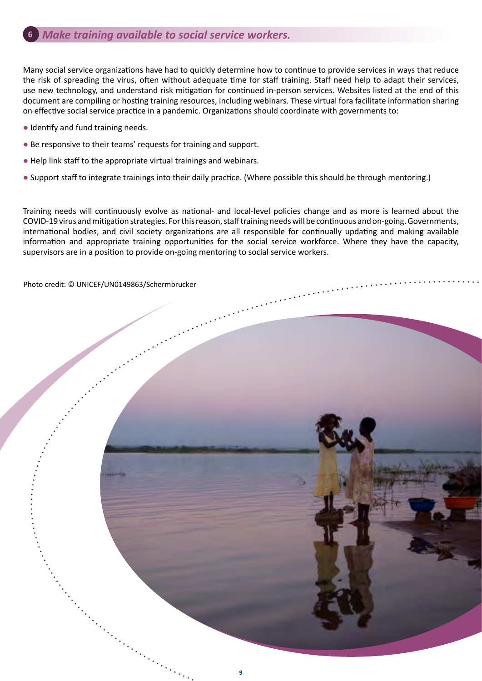### **6** *Make training available to social service workers.*

Many social service organizations have had to quickly determine how to continue to provide services in ways that reduce the risk of spreading the virus, often without adequate time for staff training. Staff need help to adapt their services, use new technology, and understand risk mitigation for continued in-person services. Websites listed at the end of this document are compiling or hosting training resources, including webinars. These virtual fora facilitate information sharing on effective social service practice in a pandemic. Organizations should coordinate with governments to:

- Identify and fund training needs.
- Be responsive to their teams' requests for training and support.
- Help link staff to the appropriate virtual trainings and webinars.
- Support staff to integrate trainings into their daily practice. (Where possible this should be through mentoring.)

Training needs will continuously evolve as national- and local-level policies change and as more is learned about the COVID-19 virus and mitigation strategies. For this reason, staff training needs will be continuous and on-going. Governments, international bodies, and civil society organizations are all responsible for continually updating and making available information and appropriate training opportunities for the social service workforce. Where they have the capacity, supervisors are in a position to provide on-going mentoring to social service workers.

Photo credit: © UNICEF/UN0149863/Schermbrucker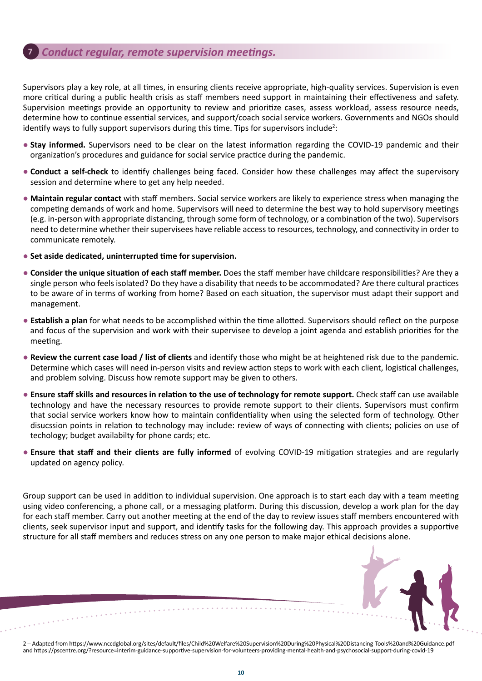#### **7** *Conduct regular, remote supervision meetings.*

Supervisors play a key role, at all times, in ensuring clients receive appropriate, high-quality services. Supervision is even more critical during a public health crisis as staff members need support in maintaining their effectiveness and safety. Supervision meetings provide an opportunity to review and prioritize cases, assess workload, assess resource needs, determine how to continue essential services, and support/coach social service workers. Governments and NGOs should identify ways to fully support supervisors during this time. Tips for supervisors include<sup>2</sup>:

- **Stay informed.** Supervisors need to be clear on the latest information regarding the COVID-19 pandemic and their organization's procedures and guidance for social service practice during the pandemic.
- **Conduct a self-check** to identify challenges being faced. Consider how these challenges may affect the supervisory session and determine where to get any help needed.
- **Maintain regular contact** with staff members. Social service workers are likely to experience stress when managing the competing demands of work and home. Supervisors will need to determine the best way to hold supervisory meetings (e.g. in-person with appropriate distancing, through some form of technology, or a combination of the two). Supervisors need to determine whether their supervisees have reliable access to resources, technology, and connectivity in order to communicate remotely.
- **Set aside dedicated, uninterrupted time for supervision.**
- **Consider the unique situation of each staff member.** Does the staff member have childcare responsibilities? Are they a single person who feels isolated? Do they have a disability that needs to be accommodated? Are there cultural practices to be aware of in terms of working from home? Based on each situation, the supervisor must adapt their support and management.
- **Establish a plan** for what needs to be accomplished within the time allotted. Supervisors should reflect on the purpose and focus of the supervision and work with their supervisee to develop a joint agenda and establish priorities for the meeting.
- **Review the current case load / list of clients** and identify those who might be at heightened risk due to the pandemic. Determine which cases will need in-person visits and **r**eview action steps to work with each client, logistical challenges, and problem solving. Discuss how remote support may be given to others.
- **Ensure staff skills and resources in relation to the use of technology for remote support.** Check staff can use available technology and have the necessary resources to provide remote support to their clients. Supervisors must confirm that social service workers know how to maintain confidentiality when using the selected form of technology. Other disucssion points in relation to technology may include: review of ways of connecting with clients; policies on use of techology; budget availabilty for phone cards; etc.
- **Ensure that staff and their clients are fully informed** of evolving COVID-19 mitigation strategies and are regularly updated on agency policy.

Group support can be used in addition to individual supervision. One approach is to start each day with a team meeting using video conferencing, a phone call, or a messaging platform. During this discussion, develop a work plan for the day for each staff member. Carry out another meeting at the end of the day to review issues staff members encountered with clients, seek supervisor input and support, and identify tasks for the following day. This approach provides a supportive structure for all staff members and reduces stress on any one person to make major ethical decisions alone.



2 ─ Adapted from https://www.nccdglobal.org/sites/default/files/Child%20Welfare%20Supervision%20During%20Physical%20Distancing-Tools%20and%20Guidance.pdf and https://pscentre.org/?resource=interim-guidance-supportive-supervision-for-volunteers-providing-mental-health-and-psychosocial-support-during-covid-19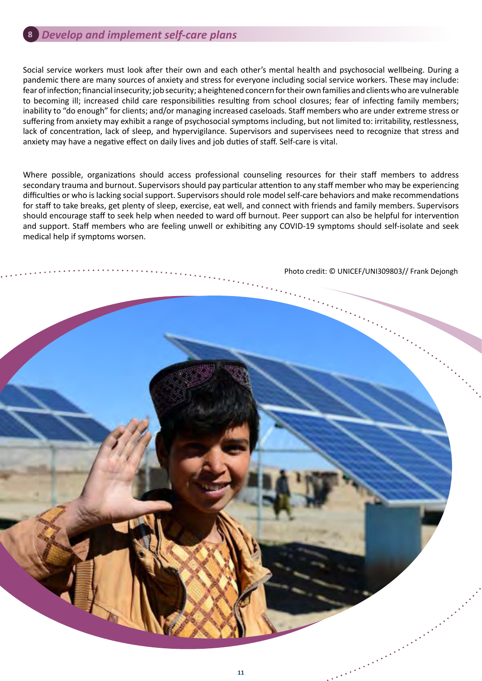### **8** *Develop and implement self-care plans*

Social service workers must look after their own and each other's mental health and psychosocial wellbeing. During a pandemic there are many sources of anxiety and stress for everyone including social service workers. These may include: fear of infection; financial insecurity; job security; a heightened concern for their own families and clients who are vulnerable to becoming ill; increased child care responsibilities resulting from school closures; fear of infecting family members; inability to "do enough" for clients; and/or managing increased caseloads. Staff members who are under extreme stress or suffering from anxiety may exhibit a range of psychosocial symptoms including, but not limited to: irritability, restlessness, lack of concentration, lack of sleep, and hypervigilance. Supervisors and supervisees need to recognize that stress and anxiety may have a negative effect on daily lives and job duties of staff. Self-care is vital.

Where possible, organizations should access professional counseling resources for their staff members to address secondary trauma and burnout. Supervisors should pay particular attention to any staff member who may be experiencing difficulties or who is lacking social support. Supervisors should role model self-care behaviors and make recommendations for staff to take breaks, get plenty of sleep, exercise, eat well, and connect with friends and family members. Supervisors should encourage staff to seek help when needed to ward off burnout. Peer support can also be helpful for intervention and support. Staff members who are feeling unwell or exhibiting any COVID-19 symptoms should self-isolate and seek medical help if symptoms worsen.

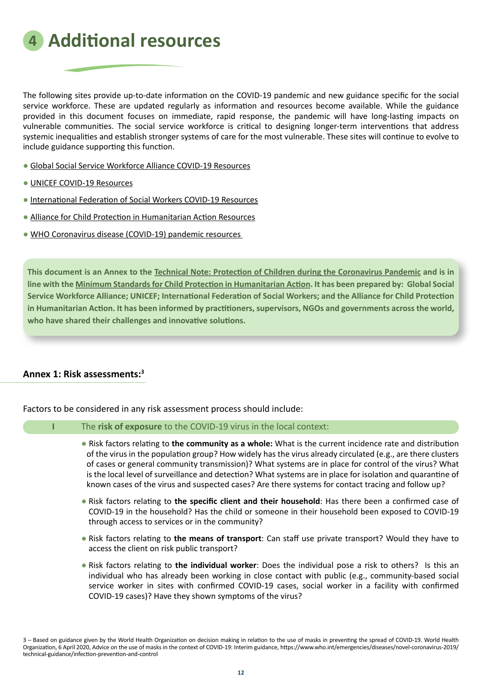**4 Additional resources**

The following sites provide up-to-date information on the COVID-19 pandemic and new guidance specific for the social service workforce. These are updated regularly as information and resources become available. While the guidance provided in this document focuses on immediate, rapid response, the pandemic will have long-lasting impacts on vulnerable communities. The social service workforce is critical to designing longer-term interventions that address systemic inequalities and establish stronger systems of care for the most vulnerable. These sites will continue to evolve to include guidance supporting this function.

- [Global Social Service Workforce Alliance COVID-19 Resources](http://socialserviceworkforce.org/resources/blog/social-service-workers-mitigating-impact-covid-19)
- [UNICEF COVID-19 Resources](https://www.unicef.org/coronavirus/covid-19)
- [International Federation of Social Workers COVID-19 Resources](https://www.ifsw.org/updated-information-on-ifsw-and-the-covid-19-virus/)
- [Alliance for Child Protection in Humanitarian Action Resources](https://alliancecpha.org/en/COVD19)
- [WHO Coronavirus disease \(COVID-19\) pandemic resources](https://www.who.int/emergencies/diseases/novel-coronavirus-2019)

**This document is an Annex to the [Technical Note: Protection of Children during the Coronavirus Pandemic](http://socialserviceworkforce.org/resources/technical-note-protection-children-during-coronavirus-pandemic) and is in line with the [Minimum Standards for Child Protection in Humanitarian Action.](https://alliancecpha.org/en/CPMS_home) It has been prepared by: Global Social Service Workforce Alliance; UNICEF; International Federation of Social Workers; and the Alliance for Child Protection in Humanitarian Action. It has been informed by practitioners, supervisors, NGOs and governments across the world, who have shared their challenges and innovative solutions.**

#### **Annex 1: Risk assessments:<sup>3</sup>**

Factors to be considered in any risk assessment process should include:

#### **I** The **risk of exposure** to the COVID-19 virus in the local context:

- Risk factors relating to **the community as a whole:** What is the current incidence rate and distribution of the virus in the population group? How widely has the virus already circulated (e.g., are there clusters of cases or general community transmission)? What systems are in place for control of the virus? What is the local level of surveillance and detection? What systems are in place for isolation and quarantine of known cases of the virus and suspected cases? Are there systems for contact tracing and follow up?
- Risk factors relating to **the specific client and their household**: Has there been a confirmed case of COVID-19 in the household? Has the child or someone in their household been exposed to COVID-19 through access to services or in the community?
- Risk factors relating to **the means of transport**: Can staff use private transport? Would they have to access the client on risk public transport?
- Risk factors relating to **the individual worker**: Does the individual pose a risk to others? Is this an individual who has already been working in close contact with public (e.g., community-based social service worker in sites with confirmed COVID-19 cases, social worker in a facility with confirmed COVID-19 cases)? Have they shown symptoms of the virus?